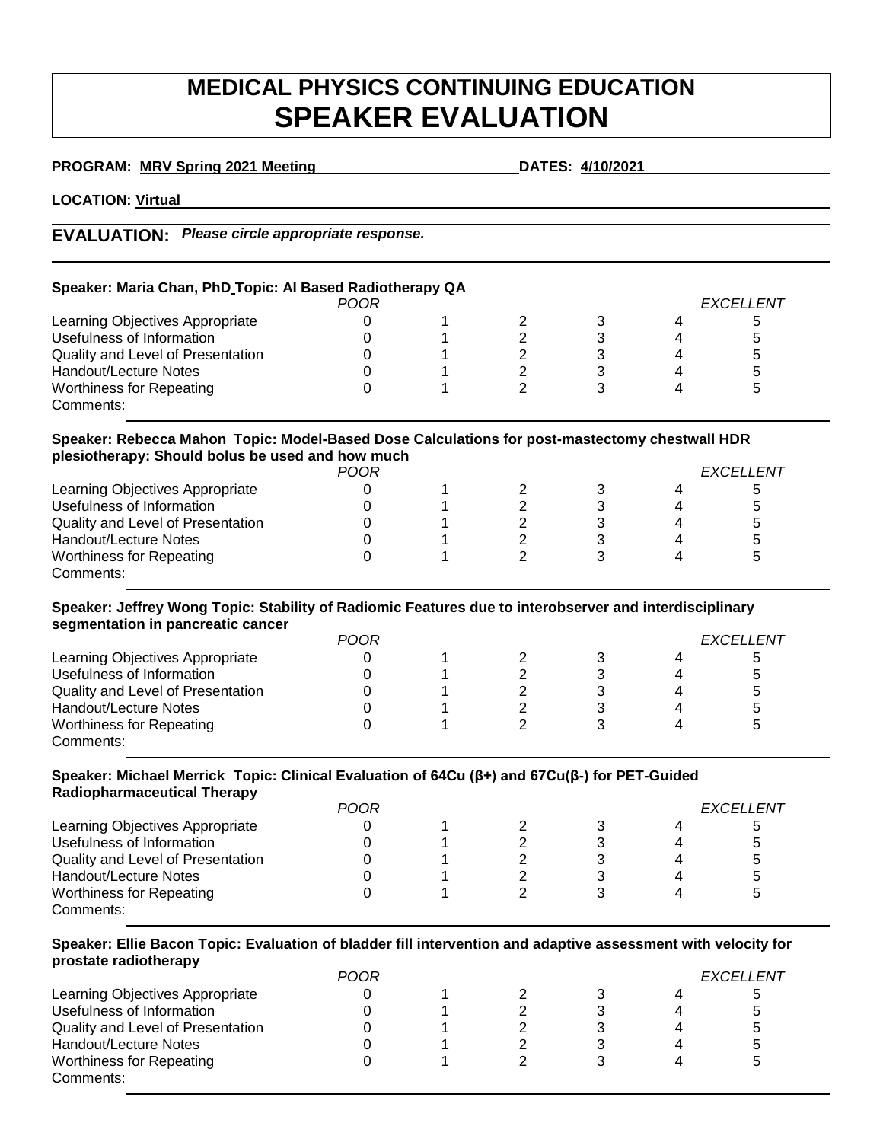# **MEDICAL PHYSICS CONTINUING EDUCATION SPEAKER EVALUATION**

| PROGRAM: MRV Spring 2021 Meeting |  |  |  |
|----------------------------------|--|--|--|
|                                  |  |  |  |

**PROGRAM: MRV Spring 2021 Meeting DATES: 4/10/2021** 

**LOCATION: Virtual**

# **EVALUATION:** *Please circle appropriate response.*

| Speaker: Maria Chan, PhD Topic: Al Based Radiotherapy QA |  |  |  |  |  |           |  |  |
|----------------------------------------------------------|--|--|--|--|--|-----------|--|--|
| POOR                                                     |  |  |  |  |  | EXCELLENT |  |  |
| Learning Objectives Appropriate                          |  |  |  |  |  | b         |  |  |
| Usefulness of Information                                |  |  |  |  |  | 5         |  |  |
| Quality and Level of Presentation                        |  |  |  |  |  | 5         |  |  |
| Handout/Lecture Notes                                    |  |  |  |  |  | 5         |  |  |
| <b>Worthiness for Repeating</b>                          |  |  |  |  |  | 5         |  |  |
| Comments:                                                |  |  |  |  |  |           |  |  |

#### **Speaker: Rebecca Mahon Topic: Model-Based Dose Calculations for post-mastectomy chestwall HDR plesiotherapy: Should bolus be used and how much**

|                                   | POOR | <b>FXCELLENT</b> |  |   |
|-----------------------------------|------|------------------|--|---|
| Learning Objectives Appropriate   |      |                  |  | 5 |
| Usefulness of Information         |      |                  |  | 5 |
| Quality and Level of Presentation |      |                  |  | 5 |
| Handout/Lecture Notes             |      |                  |  | 5 |
| <b>Worthiness for Repeating</b>   |      |                  |  | b |
| Comments:                         |      |                  |  |   |

## **Speaker: Jeffrey Wong Topic: Stability of Radiomic Features due to interobserver and interdisciplinary segmentation in pancreatic cancer**

|                                   | <b>POOR</b> |  | <i><b>FXCELLENT</b></i> |   |              |
|-----------------------------------|-------------|--|-------------------------|---|--------------|
| Learning Objectives Appropriate   |             |  |                         |   | <sub>5</sub> |
| Usefulness of Information         |             |  |                         |   | $\mathbf b$  |
| Quality and Level of Presentation |             |  |                         | 4 | 5            |
| Handout/Lecture Notes             |             |  |                         |   | 5            |
| <b>Worthiness for Repeating</b>   |             |  |                         |   | 5            |
| Comments:                         |             |  |                         |   |              |

#### **Speaker: Michael Merrick Topic: Clinical Evaluation of 64Cu (β+) and 67Cu(β-) for PET-Guided Radiopharmaceutical Therapy**

| Radiopharmaceutical Therapy       |             |  |  |  |           |   |  |
|-----------------------------------|-------------|--|--|--|-----------|---|--|
|                                   | <b>POOR</b> |  |  |  | EXCELLENT |   |  |
| Learning Objectives Appropriate   |             |  |  |  |           | ა |  |
| Usefulness of Information         |             |  |  |  |           | 5 |  |
| Quality and Level of Presentation |             |  |  |  |           | 5 |  |
| Handout/Lecture Notes             |             |  |  |  |           | 5 |  |
| Worthiness for Repeating          |             |  |  |  |           | 5 |  |
| Comments:                         |             |  |  |  |           |   |  |

## **Speaker: Ellie Bacon Topic: Evaluation of bladder fill intervention and adaptive assessment with velocity for prostate radiotherapy**

|                                   | POOR |  |  | <i><b>FXCELLENT</b></i> |
|-----------------------------------|------|--|--|-------------------------|
| Learning Objectives Appropriate   |      |  |  |                         |
| Usefulness of Information         |      |  |  |                         |
| Quality and Level of Presentation |      |  |  |                         |
| Handout/Lecture Notes             |      |  |  |                         |
| <b>Worthiness for Repeating</b>   |      |  |  |                         |
| Comments:                         |      |  |  |                         |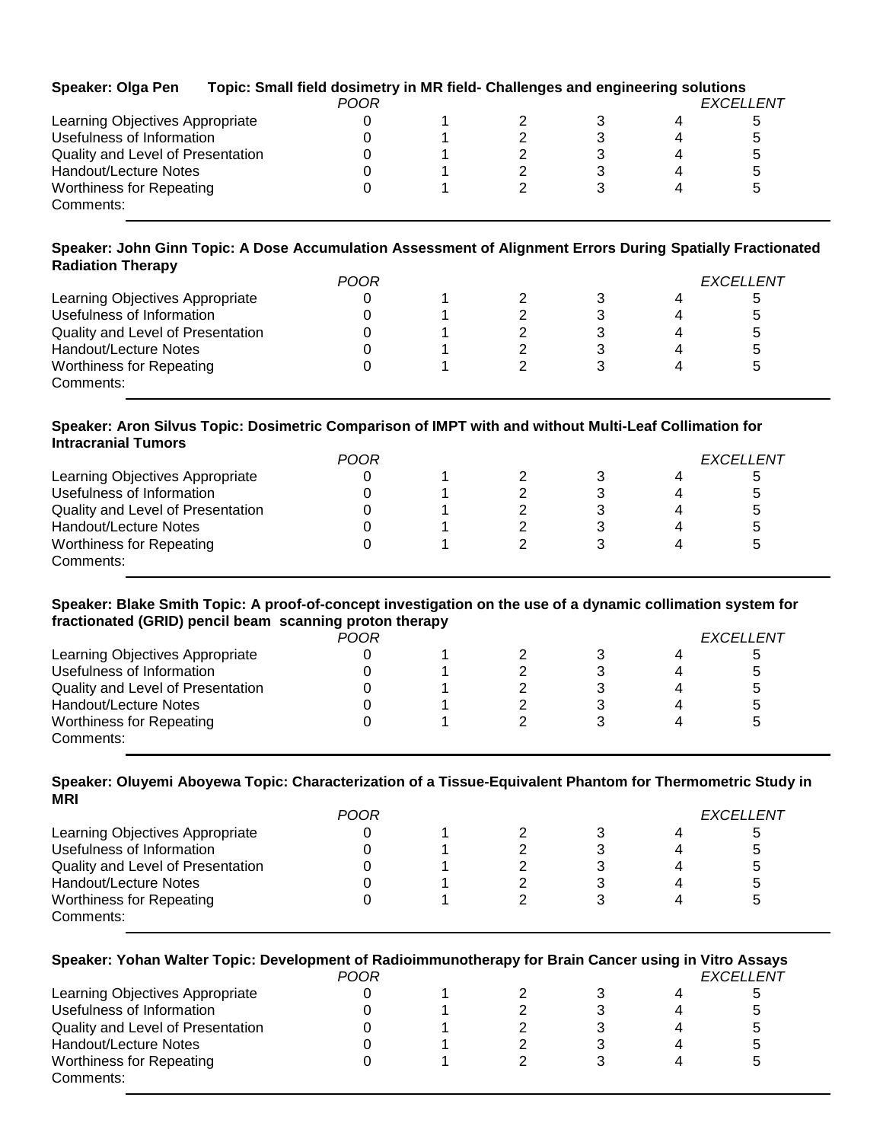| <b>Speaker: Olga Pen</b>          | Topic: Small field dosimetry in MR field- Challenges and engineering solutions |             |  |  |                  |
|-----------------------------------|--------------------------------------------------------------------------------|-------------|--|--|------------------|
|                                   |                                                                                | <b>POOR</b> |  |  | <b>EXCELLENT</b> |
| Learning Objectives Appropriate   |                                                                                |             |  |  | b                |
| Usefulness of Information         |                                                                                |             |  |  | 5                |
| Quality and Level of Presentation |                                                                                |             |  |  | b                |
| Handout/Lecture Notes             |                                                                                |             |  |  | b                |
| <b>Worthiness for Repeating</b>   |                                                                                |             |  |  |                  |
| Comments:                         |                                                                                |             |  |  |                  |

#### **Speaker: John Ginn Topic: A Dose Accumulation Assessment of Alignment Errors During Spatially Fractionated Radiation Therapy**

| <b>POOR</b> |  | <i><b>FXCELLENT</b></i> |  |  |
|-------------|--|-------------------------|--|--|
|             |  | 4                       |  |  |
|             |  | $\Delta$                |  |  |
|             |  | 4                       |  |  |
|             |  | 4                       |  |  |
|             |  |                         |  |  |
|             |  |                         |  |  |
|             |  |                         |  |  |

#### **Speaker: Aron Silvus Topic: Dosimetric Comparison of IMPT with and without Multi-Leaf Collimation for Intracranial Tumors**

|                                   | <b>POOR</b> |  |  |  |  | <b>FXCELLENT</b> |  |  |
|-----------------------------------|-------------|--|--|--|--|------------------|--|--|
| Learning Objectives Appropriate   |             |  |  |  |  | 5                |  |  |
| Usefulness of Information         |             |  |  |  |  | 5                |  |  |
| Quality and Level of Presentation |             |  |  |  |  | b                |  |  |
| Handout/Lecture Notes             |             |  |  |  |  | b                |  |  |
| <b>Worthiness for Repeating</b>   |             |  |  |  |  | 5                |  |  |
| Comments:                         |             |  |  |  |  |                  |  |  |

#### **Speaker: Blake Smith Topic: A proof-of-concept investigation on the use of a dynamic collimation system for fractionated (GRID) pencil beam scanning proton therapy**

|                                   | POOR |  |  | EXCELLENT |
|-----------------------------------|------|--|--|-----------|
| Learning Objectives Appropriate   |      |  |  | b         |
| Usefulness of Information         |      |  |  | 5         |
| Quality and Level of Presentation |      |  |  | 5         |
| Handout/Lecture Notes             |      |  |  | 5         |
| <b>Worthiness for Repeating</b>   |      |  |  | b         |
| Comments:                         |      |  |  |           |

#### **Speaker: Oluyemi Aboyewa Topic: Characterization of a Tissue-Equivalent Phantom for Thermometric Study in MRI**

|                                   | POOR |  |   | <b>EXCELLENT</b> |
|-----------------------------------|------|--|---|------------------|
| Learning Objectives Appropriate   |      |  |   | b                |
| Usefulness of Information         |      |  |   | 5                |
| Quality and Level of Presentation |      |  | 4 | b                |
| Handout/Lecture Notes             |      |  | 4 | b                |
| <b>Worthiness for Repeating</b>   |      |  |   | G                |
| Comments:                         |      |  |   |                  |

| Speaker: Yohan Walter Topic: Development of Radioimmunotherapy for Brain Cancer using in Vitro Assays | <b>POOR</b> |  |   | <b>EXCELLENT</b> |
|-------------------------------------------------------------------------------------------------------|-------------|--|---|------------------|
| Learning Objectives Appropriate                                                                       |             |  | 4 | 5                |
| Usefulness of Information                                                                             |             |  |   | 5                |
| Quality and Level of Presentation                                                                     |             |  | 4 | 5                |
| Handout/Lecture Notes                                                                                 |             |  | 4 | 5                |
| <b>Worthiness for Repeating</b><br>Comments:                                                          |             |  | Δ | 5                |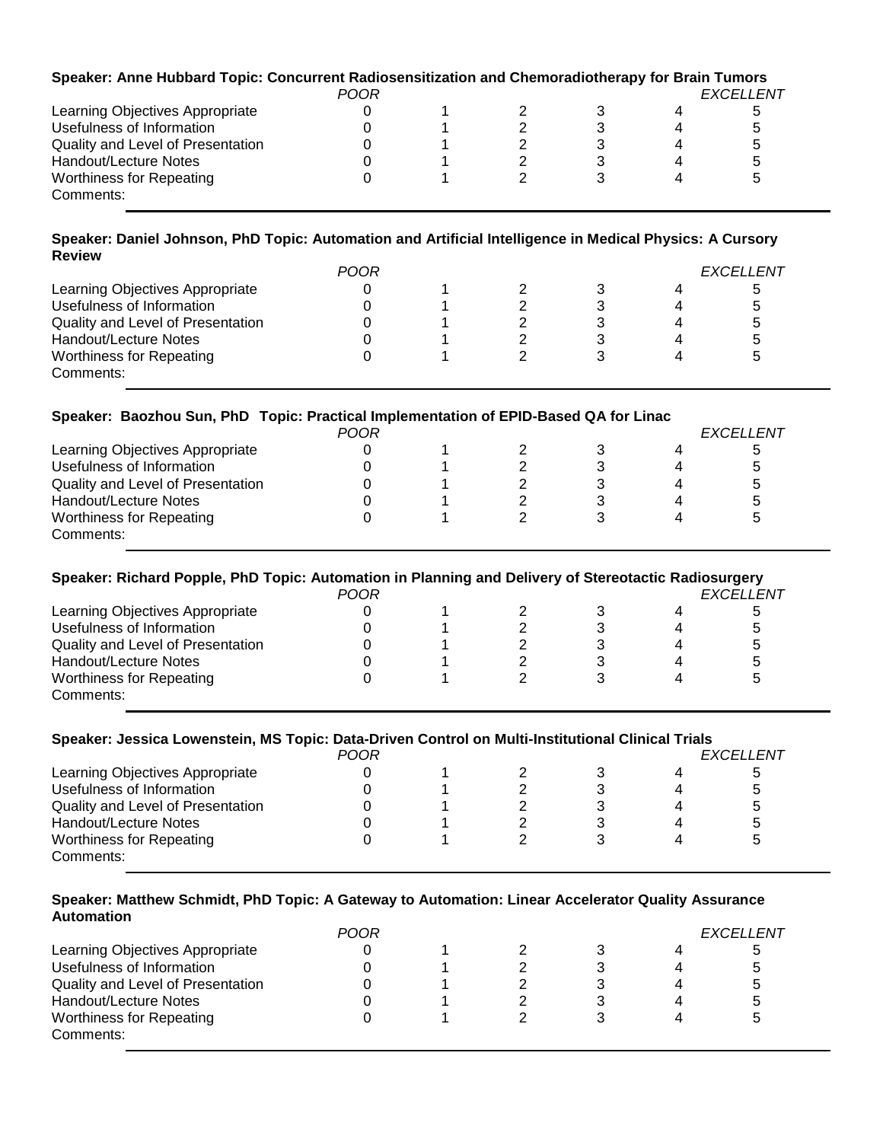| Speaker: Anne Hubbard Topic: Concurrent Radiosensitization and Chemoradiotherapy for Brain Tumors | <b>POOR</b> |  |  | <b>EXCELLENT</b> |
|---------------------------------------------------------------------------------------------------|-------------|--|--|------------------|
| Learning Objectives Appropriate                                                                   |             |  |  | b                |
| Usefulness of Information                                                                         |             |  |  | :5               |
| Quality and Level of Presentation                                                                 |             |  |  |                  |
| Handout/Lecture Notes                                                                             |             |  |  |                  |
| <b>Worthiness for Repeating</b>                                                                   |             |  |  |                  |
| Comments:                                                                                         |             |  |  |                  |

#### **Speaker: Daniel Johnson, PhD Topic: Automation and Artificial Intelligence in Medical Physics: A Cursory Review**

| POOR                              |  |  |  |  | <b>EXCELLENT</b> |  |  |
|-----------------------------------|--|--|--|--|------------------|--|--|
| Learning Objectives Appropriate   |  |  |  |  |                  |  |  |
| Usefulness of Information         |  |  |  |  |                  |  |  |
| Quality and Level of Presentation |  |  |  |  |                  |  |  |
| Handout/Lecture Notes             |  |  |  |  |                  |  |  |
| <b>Worthiness for Repeating</b>   |  |  |  |  |                  |  |  |
| Comments:                         |  |  |  |  |                  |  |  |

## **Speaker: Baozhou Sun, PhD Topic: Practical Implementation of EPID-Based QA for Linac**

| POOR                              |  |  |  | <i><b>FXCELLENT</b></i> |  |  |
|-----------------------------------|--|--|--|-------------------------|--|--|
| Learning Objectives Appropriate   |  |  |  |                         |  |  |
| Usefulness of Information         |  |  |  |                         |  |  |
| Quality and Level of Presentation |  |  |  |                         |  |  |
| Handout/Lecture Notes             |  |  |  |                         |  |  |
| <b>Worthiness for Repeating</b>   |  |  |  |                         |  |  |
| Comments:                         |  |  |  |                         |  |  |

| Speaker: Richard Popple, PhD Topic: Automation in Planning and Delivery of Stereotactic Radiosurgery<br><b>POOR</b><br><b>FXCELLENT</b> |  |  |  |   |   |   |  |  |
|-----------------------------------------------------------------------------------------------------------------------------------------|--|--|--|---|---|---|--|--|
| Learning Objectives Appropriate                                                                                                         |  |  |  |   | 4 | b |  |  |
| Usefulness of Information                                                                                                               |  |  |  | 3 | 4 | 5 |  |  |
| Quality and Level of Presentation                                                                                                       |  |  |  |   | 4 | 5 |  |  |
| Handout/Lecture Notes                                                                                                                   |  |  |  |   | 4 | 5 |  |  |
| <b>Worthiness for Repeating</b><br>Comments:                                                                                            |  |  |  |   |   | 5 |  |  |

# **Speaker: Jessica Lowenstein, MS Topic: Data-Driven Control on Multi-Institutional Clinical Trials**

| <b>POOR</b>                       |  |  |  |  |   | <b>FXCELLENT</b> |  |  |
|-----------------------------------|--|--|--|--|---|------------------|--|--|
| Learning Objectives Appropriate   |  |  |  |  | 4 |                  |  |  |
| Usefulness of Information         |  |  |  |  | 4 |                  |  |  |
| Quality and Level of Presentation |  |  |  |  | 4 |                  |  |  |
| Handout/Lecture Notes             |  |  |  |  | 4 | G                |  |  |
| <b>Worthiness for Repeating</b>   |  |  |  |  |   |                  |  |  |
| Comments:                         |  |  |  |  |   |                  |  |  |

#### **Speaker: Matthew Schmidt, PhD Topic: A Gateway to Automation: Linear Accelerator Quality Assurance Automation**

| <b>POOR</b>                       |  |  |  |  |   | <i>EXCELLENT</i> |
|-----------------------------------|--|--|--|--|---|------------------|
| Learning Objectives Appropriate   |  |  |  |  | 4 |                  |
| Usefulness of Information         |  |  |  |  | Δ | b                |
| Quality and Level of Presentation |  |  |  |  | Δ | O                |
| Handout/Lecture Notes             |  |  |  |  | Δ | O                |
| <b>Worthiness for Repeating</b>   |  |  |  |  |   |                  |
| Comments:                         |  |  |  |  |   |                  |